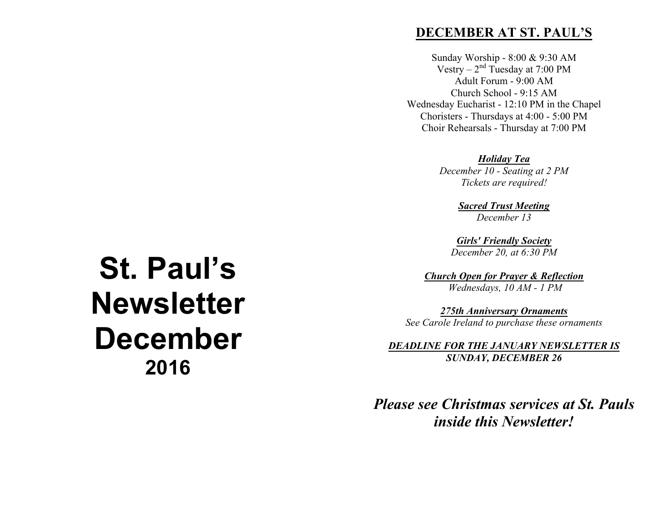## **DECEMBER AT ST. PAUL'S**

Sunday Worship - 8:00 & 9:30 AM Vestry –  $2<sup>nd</sup>$  Tuesday at 7:00 PM Adult Forum - 9:00 AM Church School - 9:15 AM Wednesday Eucharist - 12:10 PM in the Chapel Choristers - Thursdays at 4:00 - 5:00 PM Choir Rehearsals - Thursday at 7:00 PM

> *Holiday Tea December 10 - Seating at 2 PM Tickets are required!*

> > *Sacred Trust Meeting December 13*

*Girls' Friendly Society December 20, at 6:30 PM*

*Church Open for Prayer & Reflection Wednesdays, 10 AM - 1 PM*

*275th Anniversary Ornaments See Carole Ireland to purchase these ornaments*

*DEADLINE FOR THE JANUARY NEWSLETTER IS SUNDAY, DECEMBER 26*

# *Please see Christmas services at St. Pauls inside this Newsletter!*

# **St. Paul's Newsletter December 2016**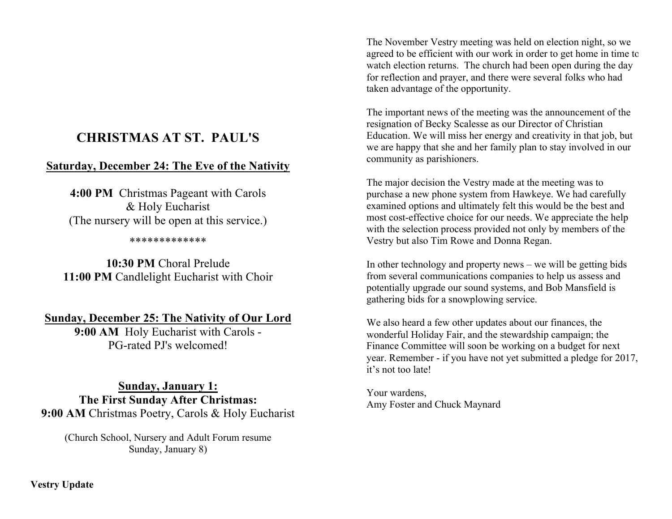## **CHRISTMAS AT ST. PAUL'S**

## **Saturday, December 24: The Eve of the Nativity**

**4:00 PM** Christmas Pageant with Carols & Holy Eucharist (The nursery will be open at this service.)

#### \*\*\*\*\*\*\*\*\*\*\*\*\*

**10:30 PM** Choral Prelude 11:00 PM Candlelight Eucharist with Choir

## **Sunday, December 25: The Nativity of Our Lord**

**9:00 AM** Holy Eucharist with Carols - PG-rated PJ's welcomed!

**Sunday, January 1: The First Sunday After Christmas: 9:00 AM** Christmas Poetry, Carols & Holy Eucharist

(Church School, Nursery and Adult Forum resume Sunday, January 8)

The November Vestry meeting was held on election night, so we agreed to be efficient with our work in order to get home in time to watch election returns. The church had been open during the day for reflection and prayer, and there were several folks who had taken advantage of the opportunity.

The important news of the meeting was the announcement of the resignation of Becky Scalesse as our Director of Christian Education. We will miss her energy and creativity in that job, but we are happy that she and her family plan to stay involved in our community as parishioners.

The major decision the Vestry made at the meeting was to purchase a new phone system from Hawkeye. We had carefully examined options and ultimately felt this would be the best and most cost-effective choice for our needs. We appreciate the help with the selection process provided not only by members of the Vestry but also Tim Rowe and Donna Regan.

In other technology and property news – we will be getting bids from several communications companies to help us assess and potentially upgrade our sound systems, and Bob Mansfield is gathering bids for a snowplowing service.

We also heard a few other updates about our finances, the wonderful Holiday Fair, and the stewardship campaign; the Finance Committee will soon be working on a budget for next year. Remember - if you have not yet submitted a pledge for 2017, it's not too late!

Your wardens, Amy Foster and Chuck Maynard

**Vestry Update**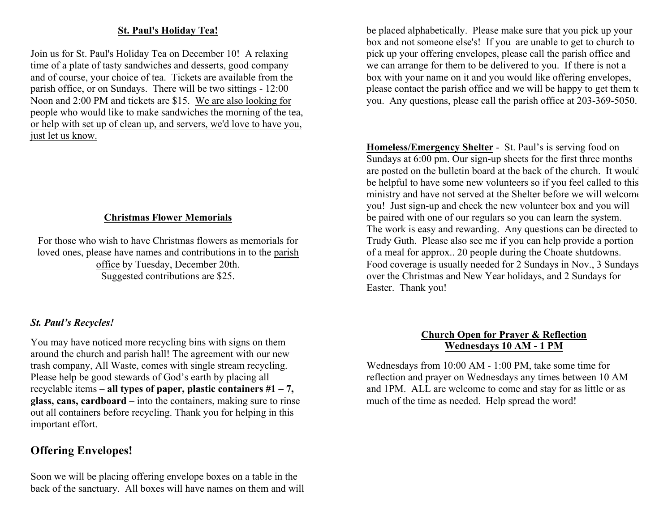## **St. Paul's Holiday Tea!**

Join us for St. Paul's Holiday Tea on December 10! A relaxing time of a plate of tasty sandwiches and desserts, good company and of course, your choice of tea. Tickets are available from the parish office, or on Sundays. There will be two sittings - 12:00 Noon and 2:00 PM and tickets are \$15. We are also looking for people who would like to make sandwiches the morning of the tea, or help with set up of clean up, and servers, we'd love to have you, just let us know.

## **Christmas Flower Memorials**

For those who wish to have Christmas flowers as memorials for loved ones, please have names and contributions in to the parish office by Tuesday, December 20th. Suggested contributions are \$25.

## *St. Paul's Recycles!*

You may have noticed more recycling bins with signs on them around the church and parish hall! The agreement with our new trash company, All Waste, comes with single stream recycling. Please help be good stewards of God's earth by placing all recyclable items – **all types of paper, plastic containers #1 – 7, glass, cans, cardboard** – into the containers, making sure to rinse out all containers before recycling. Thank you for helping in this important effort.

## **Offering Envelopes!**

Soon we will be placing offering envelope boxes on a table in the back of the sanctuary. All boxes will have names on them and will

be placed alphabetically. Please make sure that you pick up your box and not someone else's! If you are unable to get to church to pick up your offering envelopes, please call the parish office and we can arrange for them to be delivered to you. If there is not a box with your name on it and you would like offering envelopes, please contact the parish office and we will be happy to get them to you. Any questions, please call the parish office at 203-369-5050.

**Homeless/Emergency Shelter** - St. Paul's is serving food on Sundays at 6:00 pm. Our sign-up sheets for the first three months are posted on the bulletin board at the back of the church. It would be helpful to have some new volunteers so if you feel called to this ministry and have not served at the Shelter before we will welcome you! Just sign-up and check the new volunteer box and you will be paired with one of our regulars so you can learn the system. The work is easy and rewarding. Any questions can be directed to Trudy Guth. Please also see me if you can help provide a portion of a meal for approx.. 20 people during the Choate shutdowns. Food coverage is usually needed for 2 Sundays in Nov., 3 Sundays over the Christmas and New Year holidays, and 2 Sundays for Easter. Thank you!

## **Church Open for Prayer & Reflection Wednesdays 10 AM - 1 PM**

Wednesdays from 10:00 AM - 1:00 PM, take some time for reflection and prayer on Wednesdays any times between 10 AM and 1PM. ALL are welcome to come and stay for as little or as much of the time as needed. Help spread the word!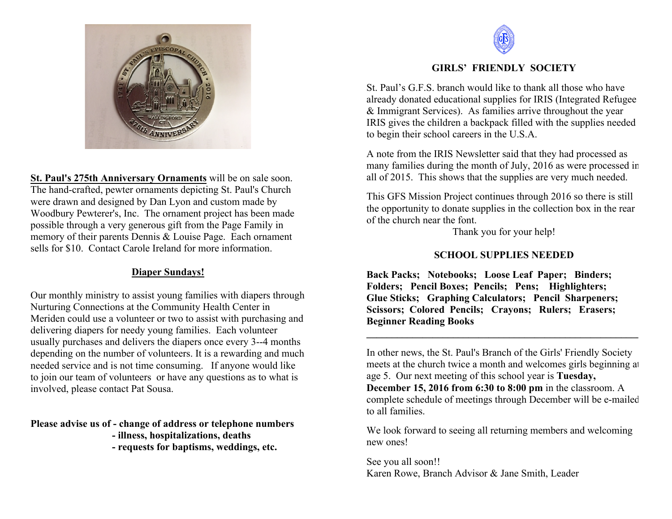

**St. Paul's 275th Anniversary Ornaments** will be on sale soon. The hand-crafted, pewter ornaments depicting St. Paul's Church were drawn and designed by Dan Lyon and custom made by Woodbury Pewterer's, Inc. The ornament project has been made possible through a very generous gift from the Page Family in memory of their parents Dennis & Louise Page. Each ornament sells for \$10. Contact Carole Ireland for more information.

## **Diaper Sundays!**

Our monthly ministry to assist young families with diapers through Nurturing Connections at the Community Health Center in Meriden could use a volunteer or two to assist with purchasing and delivering diapers for needy young families. Each volunteer usually purchases and delivers the diapers once every 3--4 months depending on the number of volunteers. It is a rewarding and much needed service and is not time consuming. If anyone would like to join our team of volunteers or have any questions as to what is involved, please contact Pat Sousa.

**Please advise us of - change of address or telephone numbers**

- **- illness, hospitalizations, deaths**
- **- requests for baptisms, weddings, etc.**



## **GIRLS' FRIENDLY SOCIETY**

St. Paul's G.F.S. branch would like to thank all those who have already donated educational supplies for IRIS (Integrated Refugee & Immigrant Services). As families arrive throughout the year IRIS gives the children a backpack filled with the supplies needed to begin their school careers in the U.S.A.

A note from the IRIS Newsletter said that they had processed as many families during the month of July, 2016 as were processed in all of 2015. This shows that the supplies are very much needed.

This GFS Mission Project continues through 2016 so there is still the opportunity to donate supplies in the collection box in the rear of the church near the font.

Thank you for your help!

## **SCHOOL SUPPLIES NEEDED**

**Back Packs; Notebooks; Loose Leaf Paper; Binders; Folders; Pencil Boxes; Pencils; Pens; Highlighters; Glue Sticks; Graphing Calculators; Pencil Sharpeners; Scissors; Colored Pencils; Crayons; Rulers; Erasers; Beginner Reading Books**

In other news, the St. Paul's Branch of the Girls' Friendly Society meets at the church twice a month and welcomes girls beginning at age 5. Our next meeting of this school year is **Tuesday, December 15, 2016 from 6:30 to 8:00 pm** in the classroom. A complete schedule of meetings through December will be e-mailed to all families.

 $\mathcal{L} = \{ \mathcal{L} \mathcal{L} \mathcal{L} \mathcal{L} \mathcal{L} \mathcal{L} \mathcal{L} \mathcal{L} \mathcal{L} \mathcal{L} \mathcal{L} \mathcal{L} \mathcal{L} \mathcal{L} \mathcal{L} \mathcal{L} \mathcal{L} \mathcal{L} \mathcal{L} \mathcal{L} \mathcal{L} \mathcal{L} \mathcal{L} \mathcal{L} \mathcal{L} \mathcal{L} \mathcal{L} \mathcal{L} \mathcal{L} \mathcal{L} \mathcal{L} \mathcal{L} \mathcal{L} \mathcal{L} \mathcal{L} \$ 

We look forward to seeing all returning members and welcoming new ones!

See you all soon!! Karen Rowe, Branch Advisor & Jane Smith, Leader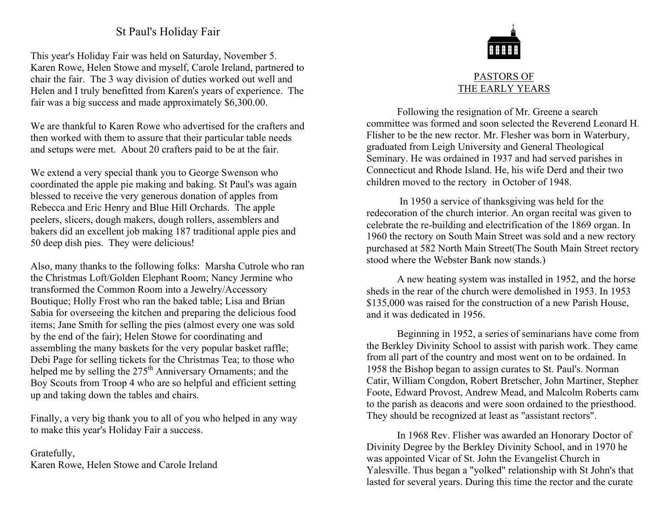## St Paul's Holiday Fair

This year's Holiday Fair was held on Saturday, November 5. Karen Rowe, Helen Stowe and myself, Carole Ireland, partnered to chair the fair. The 3 way division of duties worked out well and Helen and I truly benefitted from Karen's years of experience. The fair was a big success and made approximately \$6,300.00.

We are thankful to Karen Rowe who advertised for the crafters and then worked with them to assure that their particular table needs and setups were met. About 20 crafters paid to be at the fair.

We extend a very special thank you to George Swenson who coordinated the apple pie making and baking. St Paul's was again blessed to receive the very generous donation of apples from Rebecca and Eric Henry and Blue Hill Orchards. The apple peelers, slicers, dough makers, dough rollers, assemblers and bakers did an excellent job making 187 traditional apple pies and 50 deep dish pies. They were delicious!

Also, many thanks to the following folks: Marsha Cutrole who ran the Christmas Loft/Golden Elephant Room; Nancy Jermine who transformed the Common Room into a Jewelry/Accessory Boutique; Holly Frost who ran the baked table; Lisa and Brian Sabia for overseeing the kitchen and preparing the delicious food items; Jane Smith for selling the pies (almost every one was sold by the end of the fair); Helen Stowe for coordinating and assembling the many baskets for the very popular basket raffle; Debi Page for selling tickets for the Christmas Tea; to those who helped me by selling the  $275<sup>th</sup>$  Anniversary Ornaments; and the Boy Scouts from Troop 4 who are so helpful and efficient setting up and taking down the tables and chairs.

Finally, a very big thank you to all of you who helped in any way to make this year's Holiday Fair a success.

## Gratefully, Karen Rowe, Helen Stowe and Carole Ireland



## PASTORS OF THE EARLY YEARS

Following the resignation of Mr. Greene a search committee was formed and soon selected the Reverend Leonard H. Flisher to be the new rector. Mr. Flesher was born in Waterbury, graduated from Leigh University and General Theological Seminary. He was ordained in 1937 and had served parishes in Connecticut and Rhode Island. He, his wife Derd and their two children moved to the rectory in October of 1948.

In 1950 a service of thanksgiving was held for the redecoration of the church interior. An organ recital was given to celebrate the re-building and electrification of the 1869 organ. In 1960 the rectory on South Main Street was sold and a new rectory purchased at 582 North Main Street(The South Main Street rectory stood where the Webster Bank now stands.)

A new heating system was installed in 1952, and the horse sheds in the rear of the church were demolished in 1953. In 1953 \$135,000 was raised for the construction of a new Parish House, and it was dedicated in 1956.

Beginning in 1952, a series of seminarians have come from the Berkley Divinity School to assist with parish work. They came from all part of the country and most went on to be ordained. In 1958 the Bishop began to assign curates to St. Paul's. Norman Catir, William Congdon, Robert Bretscher, John Martiner, Stephen Foote, Edward Provost, Andrew Mead, and Malcolm Roberts came to the parish as deacons and were soon ordained to the priesthood. They should be recognized at least as "assistant rectors".

In 1968 Rev. Flisher was awarded an Honorary Doctor of Divinity Degree by the Berkley Divinity School, and in 1970 he was appointed Vicar of St. John the Evangelist Church in Yalesville. Thus began a "yolked" relationship with St John's that lasted for several years. During this time the rector and the curate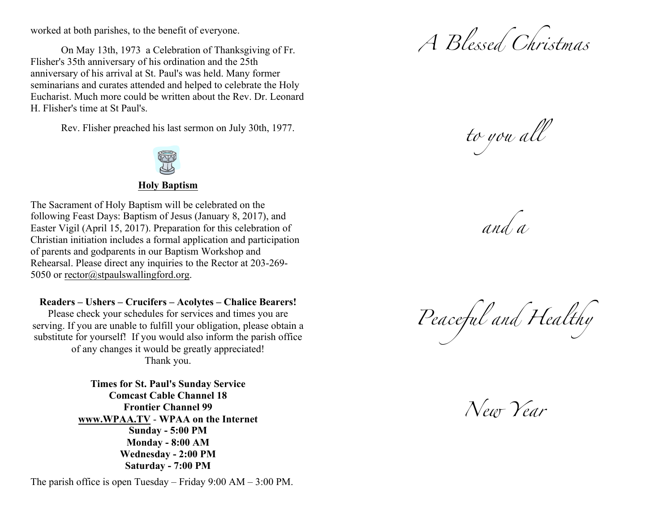worked at both parishes, to the benefit of everyone.

On May 13th, 1973 a Celebration of Thanksgiving of Fr. Flisher's 35th anniversary of his ordination and the 25th anniversary of his arrival at St. Paul's was held. Many former seminarians and curates attended and helped to celebrate the Holy Eucharist. Much more could be written about the Rev. Dr. Leonard H. Flisher's time at St Paul's.

Rev. Flisher preached his last sermon on July 30th, 1977.



## **Holy Baptism**

The Sacrament of Holy Baptism will be celebrated on the following Feast Days: Baptism of Jesus (January 8, 2017), and Easter Vigil (April 15, 2017). Preparation for this celebration of Christian initiation includes a formal application and participation of parents and godparents in our Baptism Workshop and Rehearsal. Please direct any inquiries to the Rector at 203-269- 5050 or rector@stpaulswallingford.org.

**Readers – Ushers – Crucifers – Acolytes – Chalice Bearers!**

Please check your schedules for services and times you are serving. If you are unable to fulfill your obligation, please obtain a substitute for yourself! If you would also inform the parish office of any changes it would be greatly appreciated! Thank you.

> **Times for St. Paul's Sunday Service Comcast Cable Channel 18 Frontier Channel 99 www.WPAA.TV** - **WPAA on the Internet Sunday - 5:00 PM Monday - 8:00 AM Wednesday - 2:00 PM Saturday - 7:00 PM**

The parish office is open Tuesday – Friday 9:00 AM – 3:00 PM.

*A Blessed Christmas*

*to you all* 

*and a* 

*Peaceful and Healthy*

*New Year*